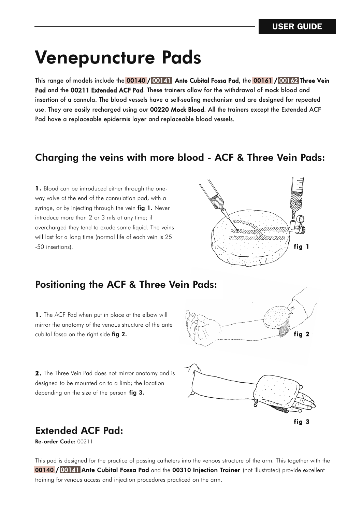# **Venepuncture Pads**

This range of models include the 00140 / 00141 Ante Cubital Fossa Pad, the 00161 / 00162 Three Vein Pad and the 00211 Extended ACF Pad. These trainers allow for the withdrawal of mock blood and insertion of a cannula. The blood vessels have a self-sealing mechanism and are designed for repeated use. They are easily recharged using our 00220 Mock Blood. All the trainers except the Extended ACF Pad have a replaceable epidermis layer and replaceable blood vessels.

#### **Charging the veins with more blood - ACF & Three Vein Pads:**

**1.** Blood can be introduced either through the oneway valve at the end of the cannulation pad, with a syringe, or by injecting through the vein **fig 1.** Never introduce more than 2 or 3 mls at any time; if overcharged they tend to exude some liquid. The veins will last for a long time (normal life of each vein is 25  $\mathbb{F}$  .50 insertions). **fig 1** 



### **Positioning the ACF & Three Vein Pads:**

**1.** The ACF Pad when put in place at the elbow will mirror the anatomy of the venous structure of the ante cubital fossa on the right side **fig 2.**



**2.** The Three Vein Pad does not mirror anatomy and is designed to be mounted on to a limb; the location depending on the size of the person **fig 3.**



### **Extended ACF Pad:**

**Re-order Code:** 00211

This pad is designed for the practice of passing catheters into the venous structure of the arm. This together with the **00140** / 00141 **Ante Cubital Fossa Pad** and the **00310 Injection Trainer** (not illustrated) provide excellent training for venous access and injection procedures practiced on the arm.